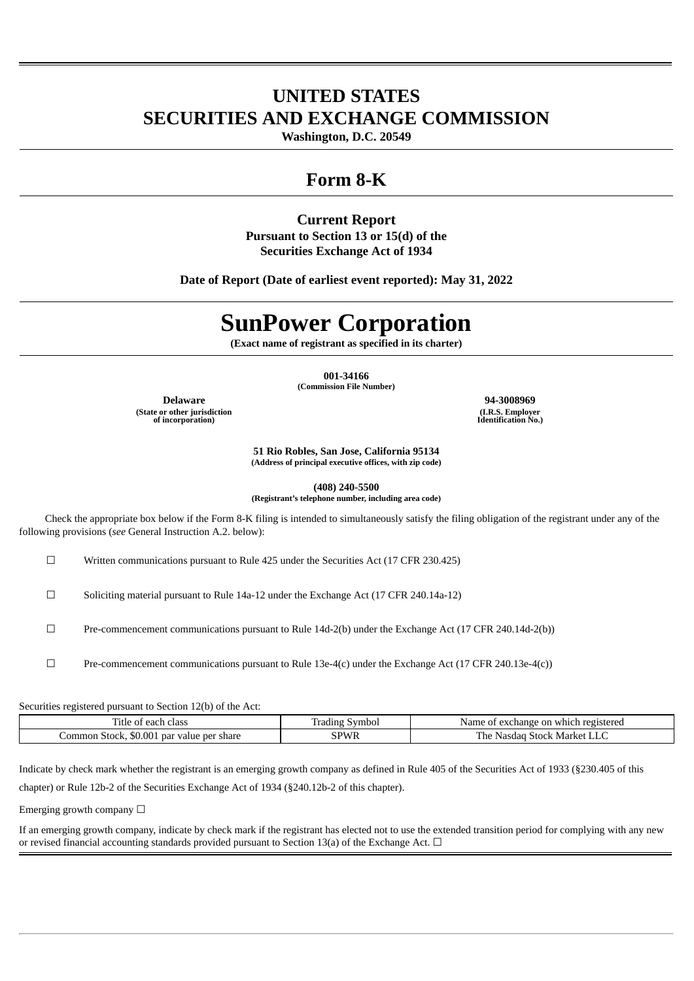# **UNITED STATES SECURITIES AND EXCHANGE COMMISSION**

**Washington, D.C. 20549**

# **Form 8-K**

# **Current Report**

**Pursuant to Section 13 or 15(d) of the Securities Exchange Act of 1934**

**Date of Report (Date of earliest event reported): May 31, 2022**

# **SunPower Corporation**

**(Exact name of registrant as specified in its charter)**

**001-34166 (Commission File Number)**

**Delaware 94-3008969 (State or other jurisdiction of incorporation)**

**(I.R.S. Employer Identification No.)**

**51 Rio Robles, San Jose, California 95134 (Address of principal executive offices, with zip code)**

**(408) 240-5500 (Registrant's telephone number, including area code)**

Check the appropriate box below if the Form 8-K filing is intended to simultaneously satisfy the filing obligation of the registrant under any of the following provisions (*see* General Instruction A.2. below):

☐ Written communications pursuant to Rule 425 under the Securities Act (17 CFR 230.425)

☐ Soliciting material pursuant to Rule 14a-12 under the Exchange Act (17 CFR 240.14a-12)

☐ Pre-commencement communications pursuant to Rule 14d-2(b) under the Exchange Act (17 CFR 240.14d-2(b))

 $\Box$  Pre-commencement communications pursuant to Rule 13e-4(c) under the Exchange Act (17 CFR 240.13e-4(c))

Securities registered pursuant to Section 12(b) of the Act:

| ÷.<br>l'itle<br>e of each class           | Symbol<br>radıng | Name of exchange on which registered     |
|-------------------------------------------|------------------|------------------------------------------|
| Common Stock, \$0.001 par value per share | <b>PWR</b>       | u Stock Market '<br>l he<br>Nasdad<br>ᆚᄔ |

Indicate by check mark whether the registrant is an emerging growth company as defined in Rule 405 of the Securities Act of 1933 (§230.405 of this

chapter) or Rule 12b-2 of the Securities Exchange Act of 1934 (§240.12b-2 of this chapter).

Emerging growth company  $\Box$ 

If an emerging growth company, indicate by check mark if the registrant has elected not to use the extended transition period for complying with any new or revised financial accounting standards provided pursuant to Section 13(a) of the Exchange Act.  $\Box$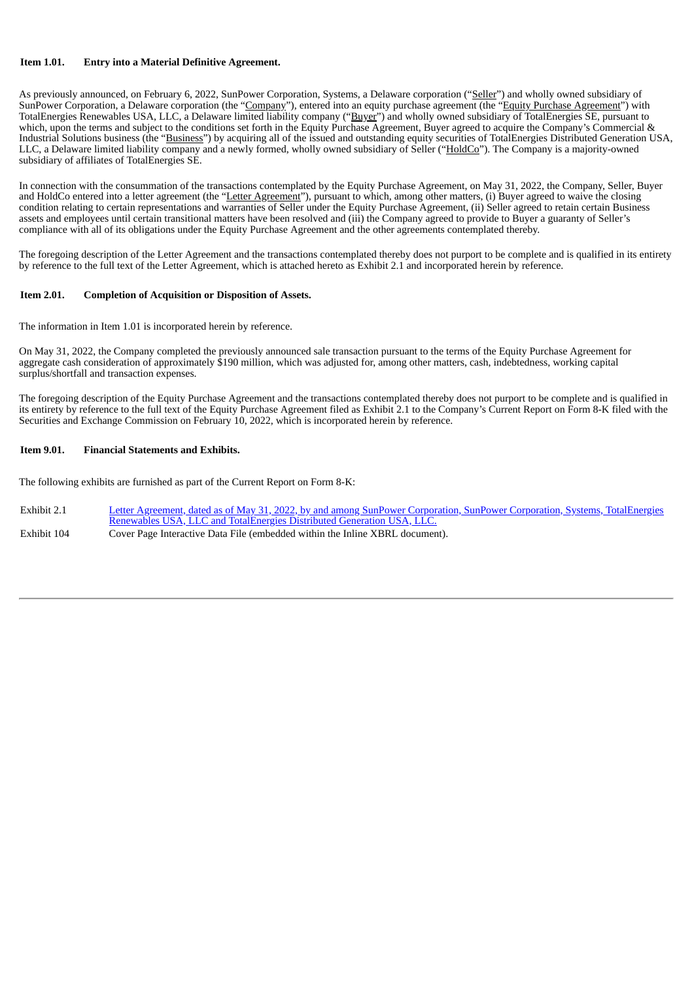#### **Item 1.01. Entry into a Material Definitive Agreement.**

As previously announced, on February 6, 2022, SunPower Corporation, Systems, a Delaware corporation ("Seller") and wholly owned subsidiary of SunPower Corporation, a Delaware corporation (the "Company"), entered into an equity purchase agreement (the "Equity Purchase Agreement") with TotalEnergies Renewables USA, LLC, a Delaware limited liability company ("Buyer") and wholly owned subsidiary of TotalEnergies SE, pursuant to which, upon the terms and subject to the conditions set forth in the Equity Purchase Agreement, Buyer agreed to acquire the Company's Commercial & Industrial Solutions business (the "Business") by acquiring all of the issued and outstanding equity securities of TotalEnergies Distributed Generation USA, LLC, a Delaware limited liability company and a newly formed, wholly owned subsidiary of Seller ("HoldCo"). The Company is a majority-owned subsidiary of affiliates of TotalEnergies SE.

In connection with the consummation of the transactions contemplated by the Equity Purchase Agreement, on May 31, 2022, the Company, Seller, Buyer and HoldCo entered into a letter agreement (the "Letter Agreement"), pursuant to which, among other matters, (i) Buyer agreed to waive the closing condition relating to certain representations and warranties of Seller under the Equity Purchase Agreement, (ii) Seller agreed to retain certain Business assets and employees until certain transitional matters have been resolved and (iii) the Company agreed to provide to Buyer a guaranty of Seller's compliance with all of its obligations under the Equity Purchase Agreement and the other agreements contemplated thereby.

The foregoing description of the Letter Agreement and the transactions contemplated thereby does not purport to be complete and is qualified in its entirety by reference to the full text of the Letter Agreement, which is attached hereto as Exhibit 2.1 and incorporated herein by reference.

#### **Item 2.01. Completion of Acquisition or Disposition of Assets.**

The information in Item 1.01 is incorporated herein by reference.

On May 31, 2022, the Company completed the previously announced sale transaction pursuant to the terms of the Equity Purchase Agreement for aggregate cash consideration of approximately \$190 million, which was adjusted for, among other matters, cash, indebtedness, working capital surplus/shortfall and transaction expenses.

The foregoing description of the Equity Purchase Agreement and the transactions contemplated thereby does not purport to be complete and is qualified in its entirety by reference to the full text of the Equity Purchase Agreement filed as Exhibit 2.1 to the Company's Current Report on Form 8-K filed with the Securities and Exchange Commission on February 10, 2022, which is incorporated herein by reference.

#### **Item 9.01. Financial Statements and Exhibits.**

The following exhibits are furnished as part of the Current Report on Form 8-K:

Exhibit 2.1 Letter Agreement, dated as of May 31, 2022, by and among SunPower [Corporation,](#page-3-0) SunPower Corporation, Systems, Tota[lEnergies](#page-3-0) Renewables USA, LLC and [TotalEnergies](#page-3-0) Distributed Generation USA, LLC. Exhibit 104 Cover Page Interactive Data File (embedded within the Inline XBRL document).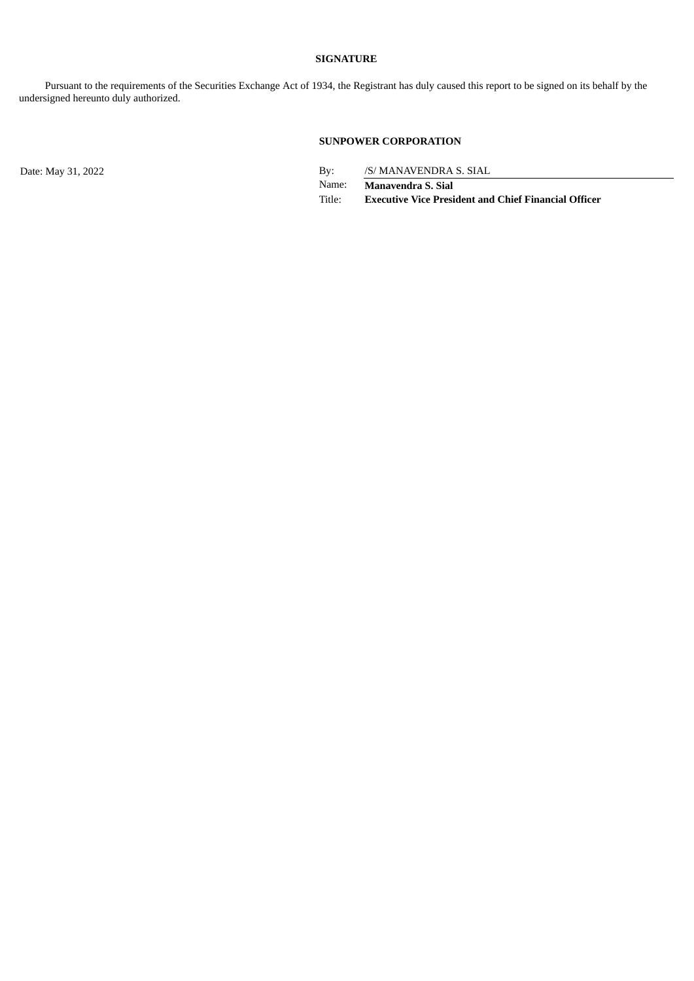## **SIGNATURE**

Pursuant to the requirements of the Securities Exchange Act of 1934, the Registrant has duly caused this report to be signed on its behalf by the undersigned hereunto duly authorized.

### **SUNPOWER CORPORATION**

Date: May 31, 2022 By: /S/ MANAVENDRA S. SIAL

Name: **Manavendra S. Sial** Title: **Executive Vice President and Chief Financial Officer**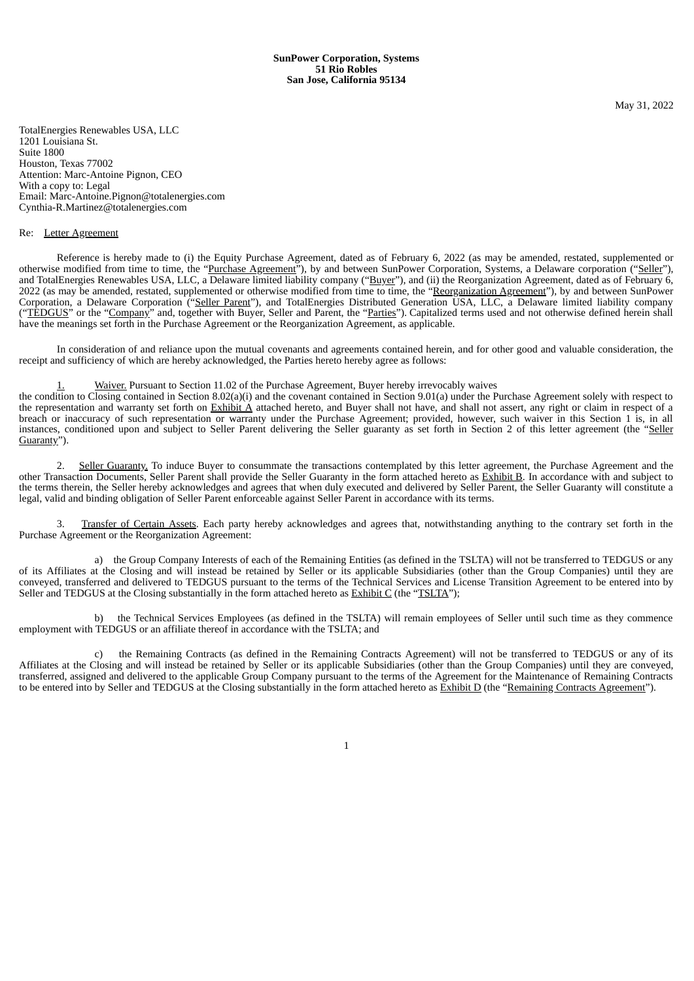May 31, 2022

<span id="page-3-0"></span>TotalEnergies Renewables USA, LLC 1201 Louisiana St. Suite 1800 Houston, Texas 77002 Attention: Marc-Antoine Pignon, CEO With a copy to: Legal Email: Marc-Antoine.Pignon@totalenergies.com Cynthia-R.Martinez@totalenergies.com

#### Re: Letter Agreement

Reference is hereby made to (i) the Equity Purchase Agreement, dated as of February 6, 2022 (as may be amended, restated, supplemented or otherwise modified from time to time, the "Purchase Agreement"), by and between SunPower Corporation, Systems, a Delaware corporation ("Seller"), and TotalEnergies Renewables USA, LLC, a Delaware limited liability company ("Buyer"), and (ii) the Reorganization Agreement, dated as of February 6, 2022 (as may be amended, restated, supplemented or otherwise modified from time to time, the "Reorganization Agreement"), by and between SunPower Corporation, a Delaware Corporation ("Seller Parent"), and TotalEnergies Distributed Generation USA, LLC, a Delaware limited liability company ("TEDGUS" or the "Company" and, together with Buyer, Seller and Parent, the "Parties"). Capitalized terms used and not otherwise defined herein shall have the meanings set forth in the Purchase Agreement or the Reorganization Agreement, as applicable.

In consideration of and reliance upon the mutual covenants and agreements contained herein, and for other good and valuable consideration, the receipt and sufficiency of which are hereby acknowledged, the Parties hereto hereby agree as follows:

#### 1. Waiver. Pursuant to Section 11.02 of the Purchase Agreement, Buyer hereby irrevocably waives

the condition to Closing contained in Section 8.02(a)(i) and the covenant contained in Section 9.01(a) under the Purchase Agreement solely with respect to the representation and warranty set forth on Exhibit A attached hereto, and Buyer shall not have, and shall not assert, any right or claim in respect of a breach or inaccuracy of such representation or warranty under the Purchase Agreement; provided, however, such waiver in this Section 1 is, in all instances, conditioned upon and subject to Seller Parent delivering the Seller guaranty as set forth in Section 2 of this letter agreement (the "Seller Guaranty").

2. Seller Guaranty. To induce Buyer to consummate the transactions contemplated by this letter agreement, the Purchase Agreement and the other Transaction Documents, Seller Parent shall provide the Seller Guaranty in the form attached hereto as Exhibit B. In accordance with and subject to the terms therein, the Seller hereby acknowledges and agrees that when duly executed and delivered by Seller Parent, the Seller Guaranty will constitute a legal, valid and binding obligation of Seller Parent enforceable against Seller Parent in accordance with its terms.

3. Transfer of Certain Assets. Each party hereby acknowledges and agrees that, notwithstanding anything to the contrary set forth in the Purchase Agreement or the Reorganization Agreement:

a) the Group Company Interests of each of the Remaining Entities (as defined in the TSLTA) will not be transferred to TEDGUS or any of its Affiliates at the Closing and will instead be retained by Seller or its applicable Subsidiaries (other than the Group Companies) until they are conveyed, transferred and delivered to TEDGUS pursuant to the terms of the Technical Services and License Transition Agreement to be entered into by Seller and TEDGUS at the Closing substantially in the form attached hereto as **Exhibit C** (the "TSLTA");

b) the Technical Services Employees (as defined in the TSLTA) will remain employees of Seller until such time as they commence employment with TEDGUS or an affiliate thereof in accordance with the TSLTA; and

c) the Remaining Contracts (as defined in the Remaining Contracts Agreement) will not be transferred to TEDGUS or any of its Affiliates at the Closing and will instead be retained by Seller or its applicable Subsidiaries (other than the Group Companies) until they are conveyed, transferred, assigned and delivered to the applicable Group Company pursuant to the terms of the Agreement for the Maintenance of Remaining Contracts to be entered into by Seller and TEDGUS at the Closing substantially in the form attached hereto as Exhibit D (the "Remaining Contracts Agreement").

1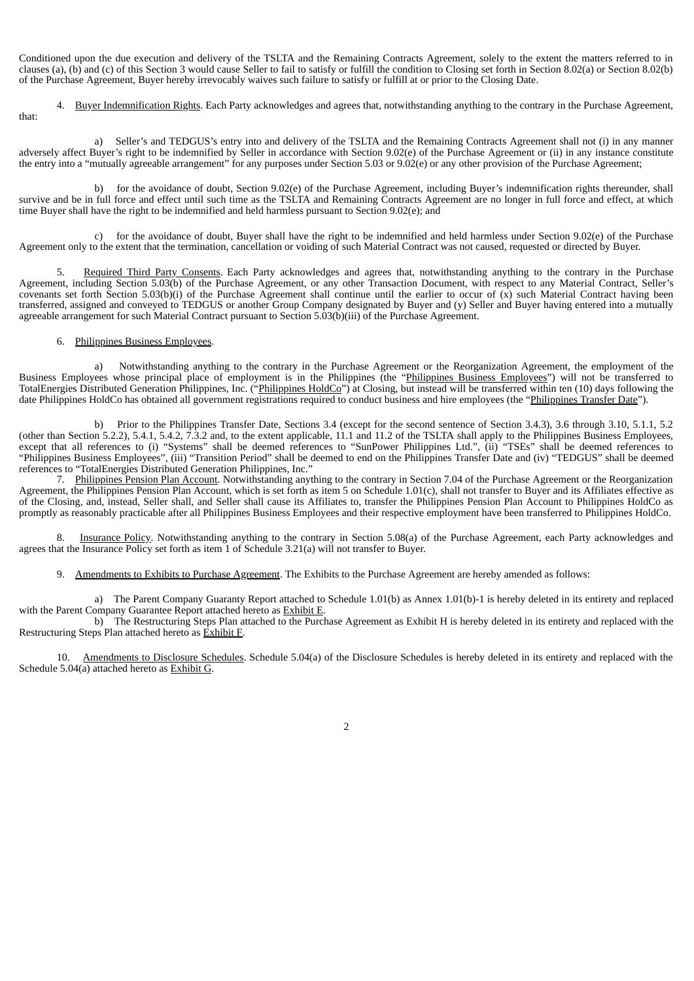Conditioned upon the due execution and delivery of the TSLTA and the Remaining Contracts Agreement, solely to the extent the matters referred to in clauses (a), (b) and (c) of this Section 3 would cause Seller to fail to satisfy or fulfill the condition to Closing set forth in Section 8.02(a) or Section 8.02(b) of the Purchase Agreement, Buyer hereby irrevocably waives such failure to satisfy or fulfill at or prior to the Closing Date.

4. Buyer Indemnification Rights. Each Party acknowledges and agrees that, notwithstanding anything to the contrary in the Purchase Agreement, that:

a) Seller's and TEDGUS's entry into and delivery of the TSLTA and the Remaining Contracts Agreement shall not (i) in any manner adversely affect Buyer's right to be indemnified by Seller in accordance with Section 9.02(e) of the Purchase Agreement or (ii) in any instance constitute the entry into a "mutually agreeable arrangement" for any purposes under Section 5.03 or 9.02(e) or any other provision of the Purchase Agreement;

b) for the avoidance of doubt, Section 9.02(e) of the Purchase Agreement, including Buyer's indemnification rights thereunder, shall survive and be in full force and effect until such time as the TSLTA and Remaining Contracts Agreement are no longer in full force and effect, at which time Buyer shall have the right to be indemnified and held harmless pursuant to Section 9.02(e); and

c) for the avoidance of doubt, Buyer shall have the right to be indemnified and held harmless under Section 9.02(e) of the Purchase Agreement only to the extent that the termination, cancellation or voiding of such Material Contract was not caused, requested or directed by Buyer.

5. Required Third Party Consents. Each Party acknowledges and agrees that, notwithstanding anything to the contrary in the Purchase Agreement, including Section 5.03(b) of the Purchase Agreement, or any other Transaction Document, with respect to any Material Contract, Seller's covenants set forth Section 5.03(b)(i) of the Purchase Agreement shall continue until the earlier to occur of  $(x)$  such Material Contract having been transferred, assigned and conveyed to TEDGUS or another Group Company designated by Buyer and (y) Seller and Buyer having entered into a mutually agreeable arrangement for such Material Contract pursuant to Section 5.03(b)(iii) of the Purchase Agreement.

#### 6. Philippines Business Employees.

a) Notwithstanding anything to the contrary in the Purchase Agreement or the Reorganization Agreement, the employment of the Business Employees whose principal place of employment is in the Philippines (the "Philippines Business Employees") will not be transferred to TotalEnergies Distributed Generation Philippines, Inc. ("Philippines HoldCo") at Closing, but instead will be transferred within ten (10) days following the date Philippines HoldCo has obtained all government registrations required to conduct business and hire employees (the "Philippines Transfer Date").

b) Prior to the Philippines Transfer Date, Sections 3.4 (except for the second sentence of Section 3.4.3), 3.6 through 3.10, 5.1.1, 5.2 (other than Section 5.2.2), 5.4.1, 5.4.2, 7.3.2 and, to the extent applicable, 11.1 and 11.2 of the TSLTA shall apply to the Philippines Business Employees, except that all references to (i) "Systems" shall be deemed references to "SunPower Philippines Ltd.", (ii) "TSEs" shall be deemed references to "Philippines Business Employees", (iii) "Transition Period" shall be deemed to end on the Philippines Transfer Date and (iv) "TEDGUS" shall be deemed references to "TotalEnergies Distributed Generation Philippines, Inc."

7. Philippines Pension Plan Account. Notwithstanding anything to the contrary in Section 7.04 of the Purchase Agreement or the Reorganization Agreement, the Philippines Pension Plan Account, which is set forth as item 5 on Schedule 1.01(c), shall not transfer to Buyer and its Affiliates effective as of the Closing, and, instead, Seller shall, and Seller shall cause its Affiliates to, transfer the Philippines Pension Plan Account to Philippines HoldCo as promptly as reasonably practicable after all Philippines Business Employees and their respective employment have been transferred to Philippines HoldCo.

8. Insurance Policy. Notwithstanding anything to the contrary in Section 5.08(a) of the Purchase Agreement, each Party acknowledges and agrees that the Insurance Policy set forth as item 1 of Schedule 3.21(a) will not transfer to Buyer.

9. Amendments to Exhibits to Purchase Agreement. The Exhibits to the Purchase Agreement are hereby amended as follows:

a) The Parent Company Guaranty Report attached to Schedule 1.01(b) as Annex 1.01(b)-1 is hereby deleted in its entirety and replaced with the Parent Company Guarantee Report attached hereto as **Exhibit E**.

b) The Restructuring Steps Plan attached to the Purchase Agreement as Exhibit H is hereby deleted in its entirety and replaced with the Restructuring Steps Plan attached hereto as Exhibit F.

10. Amendments to Disclosure Schedules. Schedule 5.04(a) of the Disclosure Schedules is hereby deleted in its entirety and replaced with the Schedule 5.04(a) attached hereto as **Exhibit G**.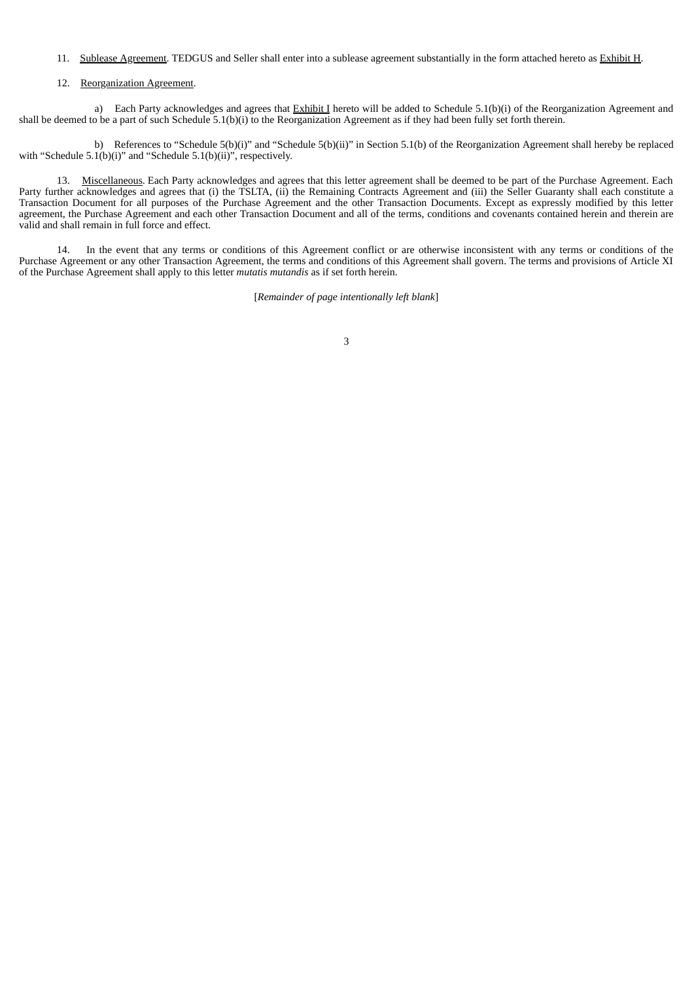#### 11. Sublease Agreement. TEDGUS and Seller shall enter into a sublease agreement substantially in the form attached hereto as Exhibit H.

#### 12. Reorganization Agreement.

a) Each Party acknowledges and agrees that Exhibit I hereto will be added to Schedule 5.1(b)(i) of the Reorganization Agreement and shall be deemed to be a part of such Schedule 5.1(b)(i) to the Reorganization Agreement as if they had been fully set forth therein.

b) References to "Schedule 5(b)(i)" and "Schedule 5(b)(ii)" in Section 5.1(b) of the Reorganization Agreement shall hereby be replaced with "Schedule 5.1(b)(i)" and "Schedule 5.1(b)(ii)", respectively.

13. Miscellaneous. Each Party acknowledges and agrees that this letter agreement shall be deemed to be part of the Purchase Agreement. Each Party further acknowledges and agrees that (i) the TSLTA, (ii) the Remaining Contracts Agreement and (iii) the Seller Guaranty shall each constitute a Transaction Document for all purposes of the Purchase Agreement and the other Transaction Documents. Except as expressly modified by this letter agreement, the Purchase Agreement and each other Transaction Document and all of the terms, conditions and covenants contained herein and therein are valid and shall remain in full force and effect.

14. In the event that any terms or conditions of this Agreement conflict or are otherwise inconsistent with any terms or conditions of the Purchase Agreement or any other Transaction Agreement, the terms and conditions of this Agreement shall govern. The terms and provisions of Article XI of the Purchase Agreement shall apply to this letter *mutatis mutandis* as if set forth herein.

[*Remainder of page intentionally left blank*]

3